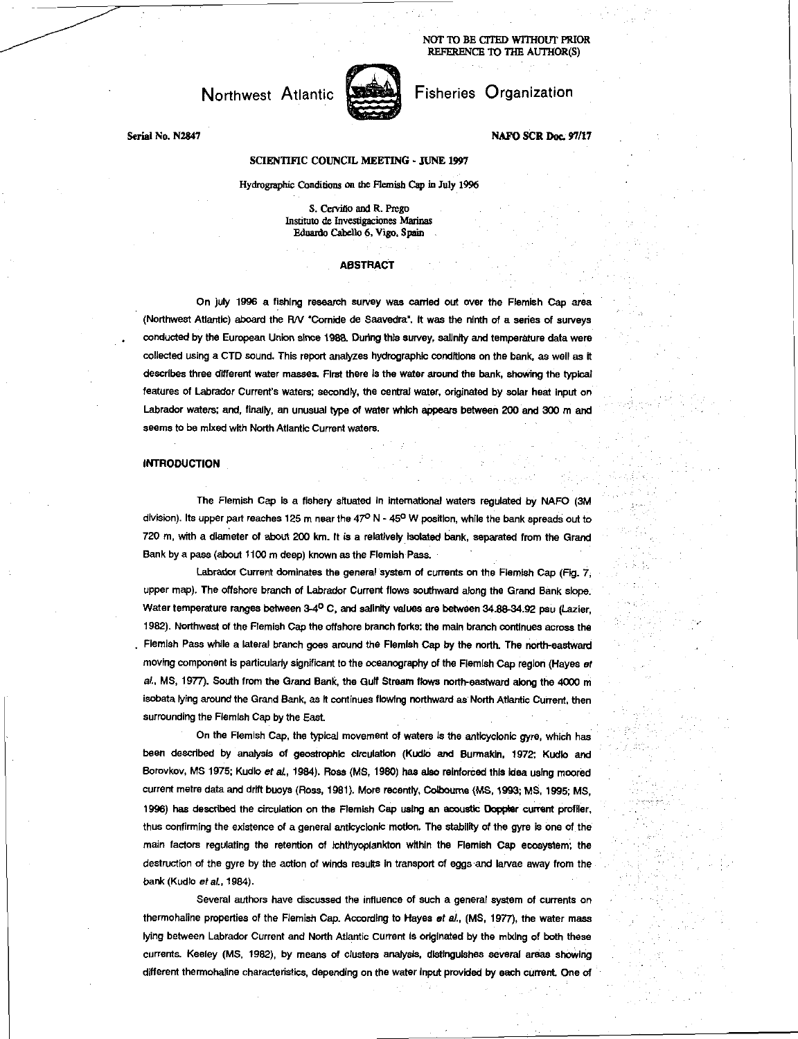NOT TO BE CITED WITHOUT PRIOR REFERENCE To THE AUTHOR(S)

# Northwest Atlantic



Serial No. N2847

# Fisheries Organization

**NAFO SCR Doc. 97/17** 

## SCIENTIFIC COUNCIL MEETING - JUNE 1997

Hydrographic Conditions on the Flemish Cap in July 1996

S. Cerviño and R. Prego Institute de Investigaciones Marinas Eduardo Cabello 6, Vigo, Spain

### **ABSTRACT**

On July 1996 a fishing research survey was carried out over the Flemish Cap area (Northwest Atlantic) aboard the RN 'Comide de Saavedra". It was the ninth of a series of surveys conducted by the European Union since 1983 During this survey, salinity and temperature data were collected using a CTD sound. This report analyzes hydrographic conditions on the bank, as well as it describes three different water masses. First there is the water around the bank, showing the typical features of Labrador Current's waters; secondly, the central water, originated by solar heat input on Labrador waters; and, finally, an unusual type *of* water which appears between 200 and 300 m and seems to be mixed with North Atlantic Current waters.

#### INTRODUCTION

The Flemish Cap is a fishery situated In international waters regulated by NAFO (3M division). Its upper part reaches 125 m near the  $47^{\circ}$  N -  $45^{\circ}$  W position, while the bank spreads out to 720 m, with a diameter of about 200 km. It is a relatively Isolated bank, separated from the Grand Bank by a pass (about 1100 m deep) known as the Flemish Pass.

Labrador Current dominates the general system of currents on the Flemish Cap (Fig. 7, upper map). The offshore branch of Labrador Current flows southward along the Grand Bank slope. Water temperature ranges between 3-4° C, and salinity values are between 34.88-34.92 psu (Lazier, 1982). Northwest of the Flemish Cap the offshore branch forks: the main branch continues across the Flemish Pass while a lateral branch goes around the Flemish Cap by the north. The north-eastward moving component is particularly significant to the oceanography of the Flemish Cap region (Hayes *of al.,* MS, 1977). South from the Grand Bank, the Gulf Stream flows north-eastward along the 4000 m isobata lying around the Grand Bank, as it continues flowing northward as North Atlantic Current, then surrounding the Flemish Cap by the East.

On the Flemish Cap, the typical movement of waters is the anticyclonic *gyre,* which has been described by analysis of geostrophic circulation (Kudlo and Burmakin, 1972; Kudlo and Borovkov, MS 1975; Kudlo *et at,* 1984). Ross (MS, 1980) has also reinforced this Idea using moored current metre data and drift buoys (Ross, 1981). More recently, Colboume (MS, 1993; MS, 1995; MS, 1996) has described the circulation on the Flemish Cap using an acoustic Doppier current profiler, thus confirming the existence of a general anticyclonic motion. The stability of the gyre is one of the main factors regulating the retention of ichthyoplankton wkhin the Flemish Cap ecosystem; the destruction of the gyre by the action of winds results in transport of eggs and larvae away from the *bank* (Kudlo *et al,* 1984).

Several authors have discussed the influence of such a general system of currents on thermohaline properties of the Flemish Cap. According to Hayes et *al.,* (MS, 1977), the water mass lying between Labrador Current and North Atlantic Current is originated by the mixing of both these currents. Keeley (MS, 1982), by means of clusters analysis, distinguishes several areas showing different thermohaline characteristics, depending on the water Input provided by each current One of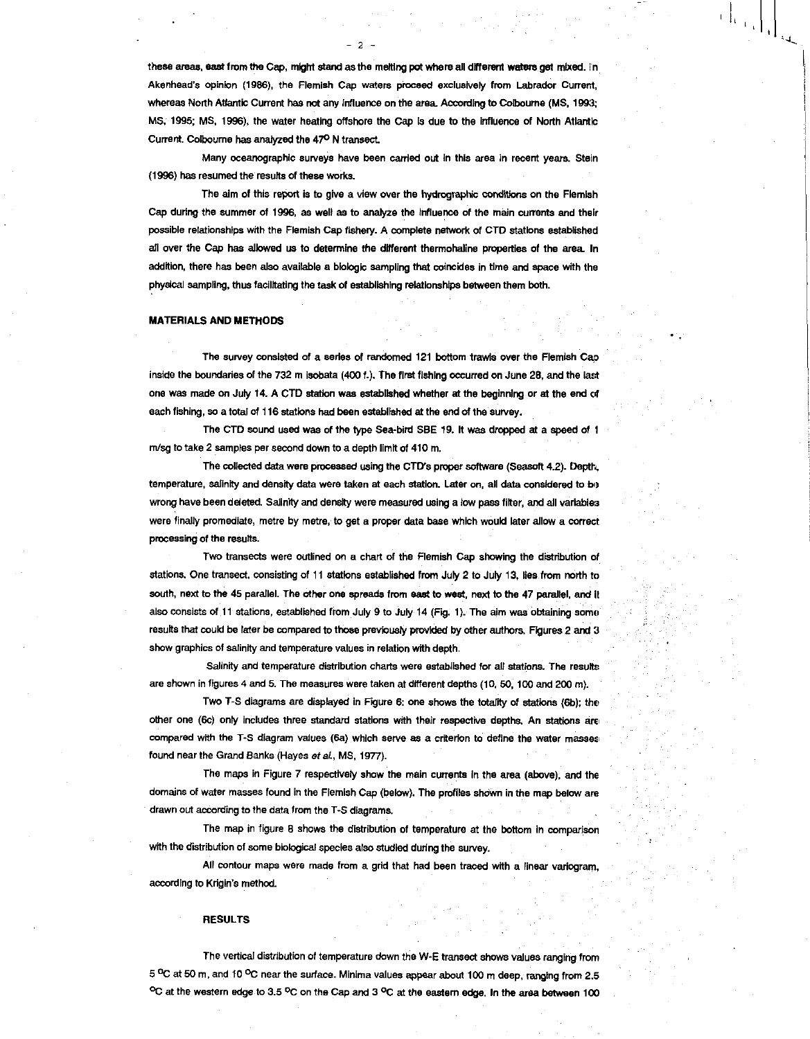these areas, east from the Cap, might stand as the melting pot where all different waters get mixed. In Akenhead's opinion (1986), the Flemish Cap waters proceed exclusively from Labrador Current, whereas North Atlantic Current has not any Influence on the area According to Colboume (MS, 1993; MS, 1995; MS, 1996), the water heating offshore the Cap is due to the influence of North Atlantic Current. Colboume has analyzed the 47° N transect

 $\left.\left.\left.\left.\right|_{\mathcal{L}_{\mathcal{A}_{\mathcal{A}}}}\right|_{\mathcal{A}}\right|_{\mathcal{A}}\right|$ 

Many oceanographic surveys have been carded out In this area in recent years. Stein (1996) has resumed the results of these works.

The aim of this report is to give a view over the hydrographic conditions on the Flemish Cap during the summer of 1996, as well as to analyze the Influence of the main currents and their possible relationships with the Flemish Cap fishery. A complete network of CTD stations established all over the Cap has allowed us to determine the different thermohaline properties of the area. In addition, there has been also available a biologic sampling that coincides in time and space with the physical sampling, thus facilitating the task of establishing relationships between them both.

### MATERIALS AND METHODS

The survey consisted of a series of randomed 121 bottom trawls over the Flemish Cap inside the boundaries of the 732 m isobata (400 f.). The first fishing occurred on June 28, and the last one was made on July 14. A CTD station was established whether at the beginning or at the end c4 each fishing, so a total of 116 stations had been established at the end of the survey.

The CTD sound used was of the type Sea-bird SBE 19. It was dropped at a speed of I m/sg to take 2 samples per second down to a depth limit of 410 m.

The collected data were processed using the CTD's proper software (Seasoft 4.2). Depth, temperature, salinity and density data were taken at each station. Later on, all data considered to be wrong have been deleted. Salinity and density were measured using a low pass filter, and all variables were finally promedlate, metre by metre, to get a proper data base which would later allow a correct processing of the results.

Two transects were outlined on a chart of the Flemish Cap showing the distribution of stations. One transect, consisting of 11 stations established from July 2 to July 13, Iles from north to south, next to the 45 parallel. The ether one spreads from east to west, next to the 47 parallel, and it also consists of 11 stations, established from July 9 to July 14 (Fig. 1). The aim was obtaining some results that could be later be compared to those previously provided by other authors. Figures 2 and 3 show graphics of salinity and temperature values in relation with depth.

Salinity and temperature distribution charts were established for all stations. The results are shown in figures 4 and 5. The measures were taken at different depths (10, 50, 100 and 200 m).

Two T-S diagrams are displayed in. Figure 6: one shows the totality of stations (6b); the other one (6c) only includes three standard stations with their respective depths. An stations are compared with the T-S diagram values (6a) which serve as a criterion to define the water masses found near the Grand Banks (Hayes *of at,* MS, 1977).

The maps in Figure 7 respectively show the main currents In the area (above), and the domains of water masses found in the Flemish Cap (below). The profiles shown in the map below are drawn out according to the data from the T-S diagrams.

The map in figure 8 shows the distribution of temperature at the bottom in comparison with the distribution of some biological species also studied during the survey.

All contour maps were made from a grid that had been traced with a linear varlogram, according to Krigin's method.

#### **RESULTS**

The vertical distribution of temperature down the W-E transect shows values ranging from 5 °C at 50 m, and 10 °C near the surface. Minima values appear about 100 m deep, ranging from 2.5 °C at the western edge to 3.5 °C on the Cap and 3 °C at the eastem edge. In the area between 100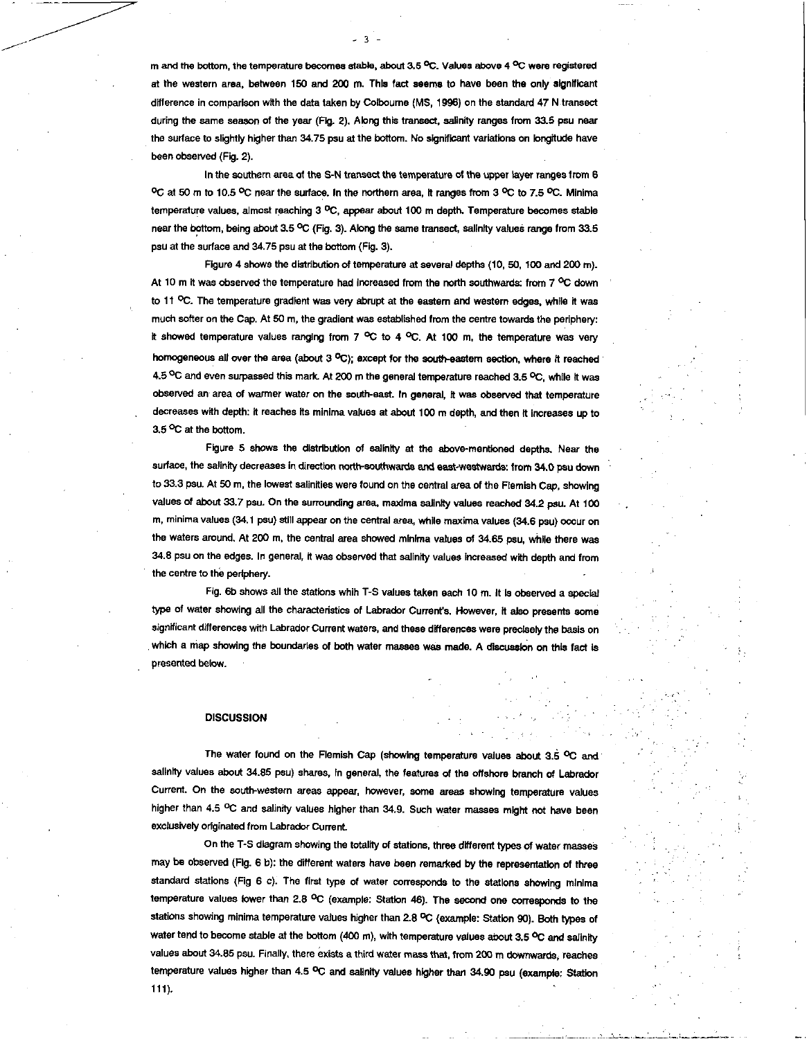m and the bottom, the temperature becomes stable, about 3.5 °C. Values above 4 °C were registered at the western area, between 150 and 200 m. This fact seems to have been the only significant difference in comparison with the data taken by Colbourne (MS, 1998) on the standard 47 N transact during the same season of the year (Fig. 2). Along this transect, salinity ranges from 33.5 psu near the surface to slightly higher than 34.75 psu at the bottom. No significant variations on longitude have been observed (Fig. 2).

્ર

In the southern area of the S-N transact the temperature of the upper layer ranges from 6 °C at 50 m to 10.5 °C near the surface. In the northern area, It ranges from 3 °C to 7.5 °C. Minima temperature values, almost reaching 3 °C, appear about 100 m depth. Temperature becomes stable near the bottom, being about 3.5 °C (Fig. 3). Along the same transect, salinity values range from 33.5 psu at the surface and 34.75 psu at the bottom (Fig. 3).

Figure 4 shows the distribution of temperature at several depths (10, 50, 100 and 200 m). At 10 m it was observed the temperature had increased from the north southwards: from  $7^{\circ}$ C down to 11 °C. The temperature gradient was very abrupt at the eastern and western edges, while it was much softer on the Cap. At 50 m, the gradient was established from the centre towards the periphery: It showed temperature values ranging from 7  $^{\circ}$ C to 4  $^{\circ}$ C. At 100 m, the temperature was very homogeneous all over the area (about 3 °C); except for the south-eastern section, where it reached 4.5 °C and even surpassed this mark. At 200 m the general temperature reached 3.5 °C, while it was observed an area of warmer water on the south-east. In general, It was observed that temperature decreases with depth: it reaches its minima values at about 100 m depth, and then It increases up to 3.5 °C at the bottom.

Figure 5 shows the distribution of salinity at the above-mentioned depths. Near the surface, the salinity decreases in direction north-southwards and east-westwards: from 34.0 psu down to 33.3 psu. At 50 m, the lowest salinities were found on the central area of the Flemish Cap, showing values of about 33.7 psu. On the surrounding area, maxima salinity values reached 34.2 psu. At 100 m, minima values (34.1 psu) still appear on the central area, while maxima values (34.6 psu) occur on the waters around. At 200 m, the central area showed minima values of 34.65 psu, while there was 34.8 psu on the edges. In general, it was observed that salinity values increased with depth and from the centre to the periphery.

Fig. 6b shows all the stations whih T-S values taken each 10 m. It Is observed a special type of water showing all the characteristics of Labrador Current's. However, it also presents some significant differences with Labrador Current waters, and these differences were precisely the basis on which a map showing the boundaries of both water masses was made. A discussion on this fact is presented below.

## **DISCUSSION**

The water found on the Flemish Cap (showing temperature values about 3.6 °C and salinity values about 34.85 psu) shares, In general, the features of the offshore branch of Labrador Current. On the south-westem areas appear, however, some areas showing temperature values higher than 4.5 °C and salinity values higher than 34.9. Such water masses might not have been exclusively originated from Labrador Current

On the T-S diagram showing the totality of stations, three different types of water masses may be observed (Fig. 6 b): the different waters have been remarked by the representation of three standard stations (Fig 6 c). The first type of water corresponds to the stations showing minima temperature values lower than 2.8 °C (example: Station 46). The second one corresponds to the stations showing minima temperature values higher than 2.8 °C (example: Station 90). Both types of water tend to become stable at the bottom (400 m), with temperature values about 3.5 °C and salinity values about 34.85 psu. Finally, there exists a third water mass that, from 200 m downwards, reaches temperature values higher than 4.5 °C and salinity values higher than 34.90 psu (example: Station 111).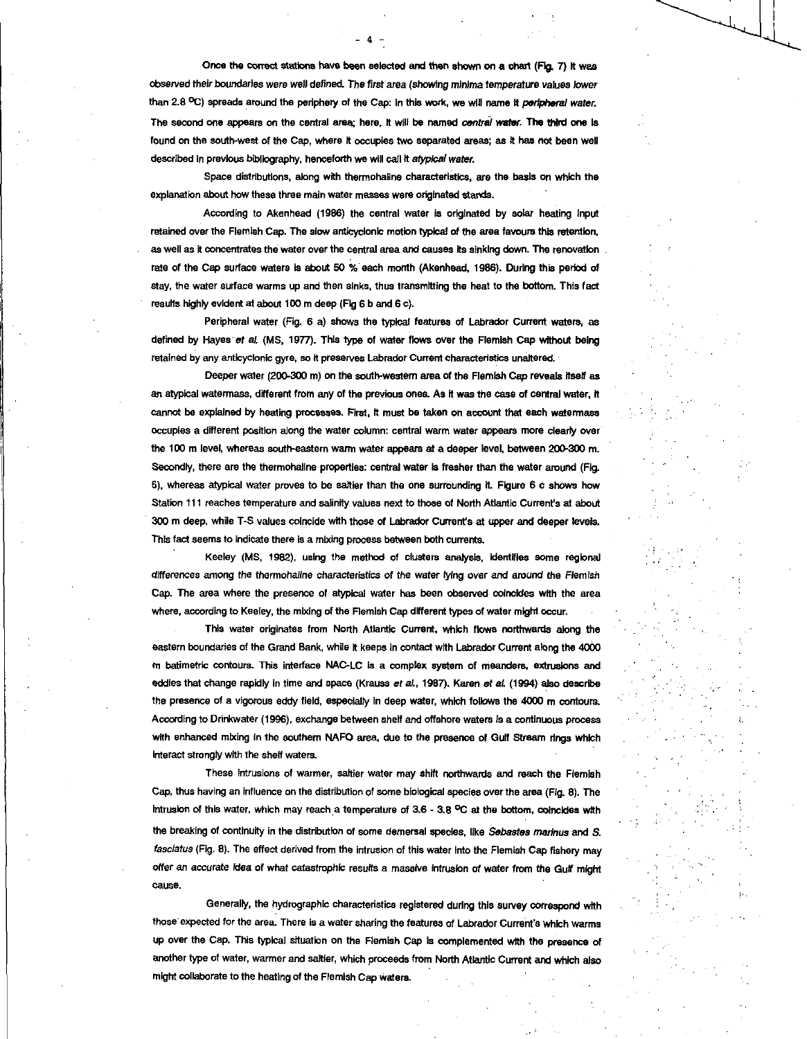Once the correct stations have been selected and then shown on a chart (Fig. 7) it was observed their boundaries *were* well defined. The first area (showing *minima* temperature values *lower*  than 2.8 °C) spreads around the periphery of the Cap: in this work, we will name it *peripheral water*. The second one appears on the central area; here, it will be named *central water*. The third one is found on the south-west of the Cap, where it occupies two separated areas; as it has not been well described in previous bibliography, henceforth we will call It *atypical water.* 

Space distributions, along with thermohaline characteristics, are the basis on which the explanation about how these three main water masses were originated stands.

According to Akenhead (1986) the central water is originated by solar heating Input retained over the Flemish Cap. The slow anticyclonic motion typical of the area favours this retention, as well as it concentrates the water over the central area and causes its sinking down. The renovation rate of the Cap surface waters is about 50 % each month (Akenhead, 1986). During this period of stay, the water surface warms up and then sinks, thus transmitting the heat to the bottom. This fact results highly evident at about 100 m deep (Fig 6 b and 6 c).

Peripheral water (Fig. 6 a) shows the typical features of Labrador Current waters, as defined by Hayes et al. (MS, 1977). This type of water flows over the Flemish Cap without being retained by any anticyclonic gyre, so it preserves Labrador Current characteristics unaltered.

Deeper water (200-300 m) on the south-western area of the Flemish Cap reveals itself as an atypical watermass, different from any of the previous ones. As it was the case of central water, it cannot be explained by heating processes. First, It must be taken on account that each watermass occupies a different position along the water column: central warm water appears more clearly over the 100 m level, whereas south-eastern warm water appears at a deeper level, between 200-300 m. Secondly, there are the thermohaline properties: central water is fresher than the water around (Fig. 5), whereas atypical water proves to be saltier than the one surrounding It. Figure 6 c shows how Station 111 reaches temperature and salinity values next to those of North Atlantic Current's at about 300 m deep, while T-S values coincide with those of Labrador Current's at upper and deeper levels. This fact seems to indicate there is a mixing process between both currents.

Keeley (MS, 1982), using the method of clusters analysis, Identifies some regional *differences* among *the thermohaline* characteristics of the water lying over and around the *Flemish*  Cap. The area where the presence of atypical water has been observed coincides with the area where, according to Keeley, the mixing of the Flemish Cap different types of water might occur.

This water originates from North Atlantic Current, which flows northwards along the eastern boundaries of the Grand Bank, while it keeps in contact with Labrador Current along the 4000 m batimetric contours. This interface NAC-LC is a complex system of meanders, extrusions and eddies that change rapidly in time and space (Krauss *at al.,* 1987). Karen *et at* (1994) also describe the presence of a vigorous eddy field, especially in deep water, which follows the 4000 m contours. According to Drinkwater (1996), exchange between shelf and offshore waters is a continuous process with enhanced mixing In the southern NAFO area, due to the presence of Gulf Stream rings which interact strongly with the shelf waters.

These Intrusions of warmer, saltier water may shift northwards and reach the Flemish Cap, thus having an influence on the distribution of some biological species over the area (Fig. 8). The intrusion of this water, which may reach a temperature of 3.6 - 3.8 °C at the bottom, coincides with the breaking of continuity in the distribution of some demersal species, like *Sebastes marfnus* and S. fasciatus (Fig. 8). The effect derived from the intrusion of this water Into the Flemish Cap fishery may offer an accurate idea of what catastrophic results a massive intrusion of water from the Guif might Cause.

Generally, the hydrographic characteristics registered during this survey correspond with those expected for the area. There is a water sharing the features of Labrador Current's which warms up over the Cap. This typical situation on the Flemish Cap Is complemented with the presence of another type of water, warmer and saltier, which proceeds from North Atlantic Current and which also might collaborate to the heating of the Flemish Cap waters.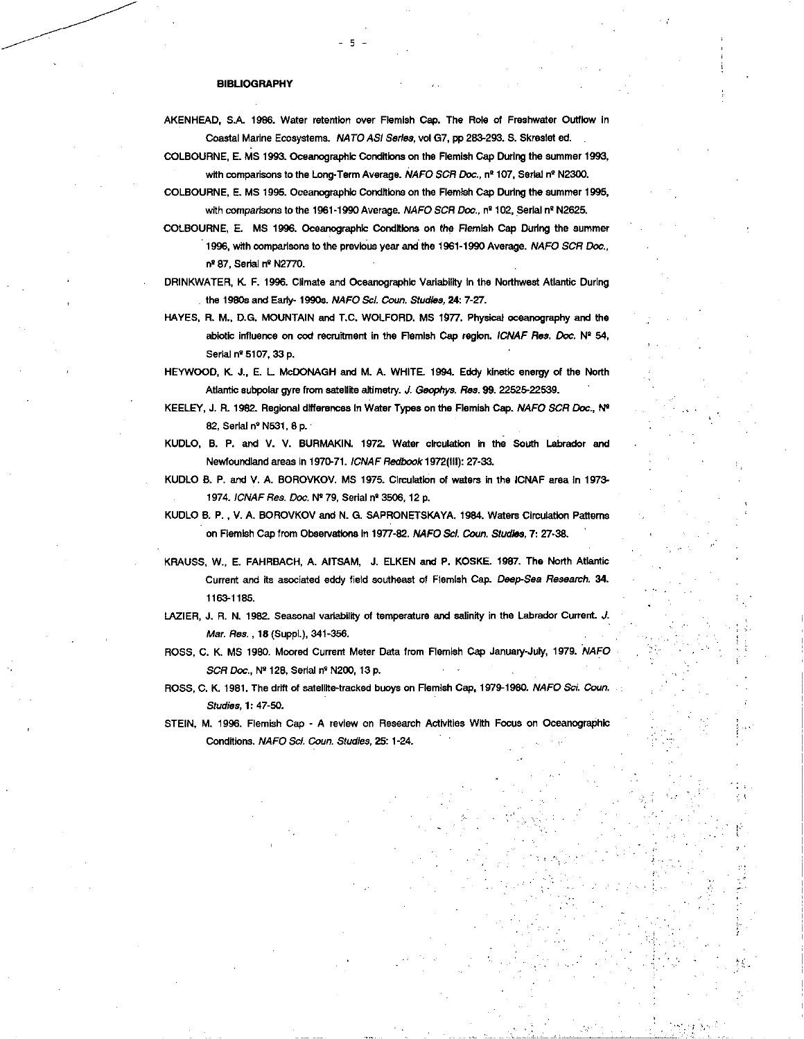## **BIBLIOGRAPHY**

AKENHEAD, S.A. 1986. Water retention over Flemish Cap. The Role of Freshwater Outflow in Coastal Marine Ecosystems. *NATO ASI Series,* vol G7, pp 283-293. S. Skreslet ed. .

5

COLBOURNE, E. MS 1993. Oceanographic Conditions on the Flemish Cap During the summer 1993, with comparisons to the Long-Term Average. *NAFO SCR Doc.*, nº 107, Serial nº N2300.

- COLBOURNE, E. MS 1995. Oceanographic Conditions on the Flemish Cap During the summer 1995, with comparisons to the 1961-1990 Average. *NAFO SCR Doc.*, nº 102, Serial nº N2625.
- COLBOURNE, E. MS 1996. Oceanographic Conditions on *the* Flemish Cap During the summer 1996, with comparisons to the previous year and the 1961-1990 Average. *NAFO SCR Doc.,*  nº 87, Serial nº N2770.

DRINKWATER, K. F. 1996. Climate and Oceanographic Variability in the Northwest Atlantic During the 1980s and Early- 19905. *NAFO Sci. Coun. Studies,* **24:** 7-27.

HAYES, R. M., D.G. MOUNTAIN and T.C. WOLFORD. MS 1977. Physical oceanography and the abiotic influence on cod recruitment in the Flemish Cap region. *ICNAF Res. Doe.* N° 54, Serial nº 5107, 33 p.

HEYWOOD, K J., E. L McDONAGH and M. A. WHITE. 1994. Eddy kinetic energy of the North Atlantic subpolar gyre from satellite altimetry. J. *Geophys. Res.* **99.** 22525-22539.

- KEELEY, J. R. 1982. Regional differences In Water Types on the Flemish Cap. *NAFO SCR Doc., bit*  82, Serial n° N531, 8 p.
- KUDLO, B. P. and V. V. BURMAKIN. 1972. Water circulation in the South Labrador and Newfoundland areas in 1970-71. *ICNAF Redbook* 1972(111): 27-33.

KUDLO B. P. and V. A. BOROVKOV. MS 1975. Circulation of waters in the ICNAF area In 1973- 1974. *ICNAF Res. Doc.* N279, Serial n° 3506, 12 p.

KUDLO B. P. , V. A. BOROVKOV and N. G. SAPRONETSKAYA. 1984. Waters Circulation Patterns on Flemish Cap from Observations in 1977-82. *NAFO Sc!. Coun. Studies, 7:* 27-38.

- KRAUSS, W., E. FAHRBACH, A. AITSAM, J. ELKEN and P. KOSKE. 1987. The North Atlantic Current and its asociated eddy field southeast of Flemish Cap. *Deep-Sea Research.* **34.**  1163-1185.
- LAZIER, J. R. N. 1982. Seasonal variability of temperature and salinity in the Labrador Current. *J. Mar. Res. ,* **18** (Suppl.), 341-356.
- ROSS, C. K. MS 1980. Moored Current Meter Data from Flemish Cap January-July, 1979. *NAFO SCR Doc.,* N2128, Serial n° N200, 13 p.
- ROSS, C. K. 1981. The drift of satellite-tracked buoys on Flemish Cap, 1979-1980. *NAFO Sci. Coun. Studies,* **1:** 47-50.
- STEIN, M. 1996. Flemish Cap A review on Research Activities With Focus on Oceanographic Conditions. *NAFO Sc!. Court. Studies,* 25: 1 -24.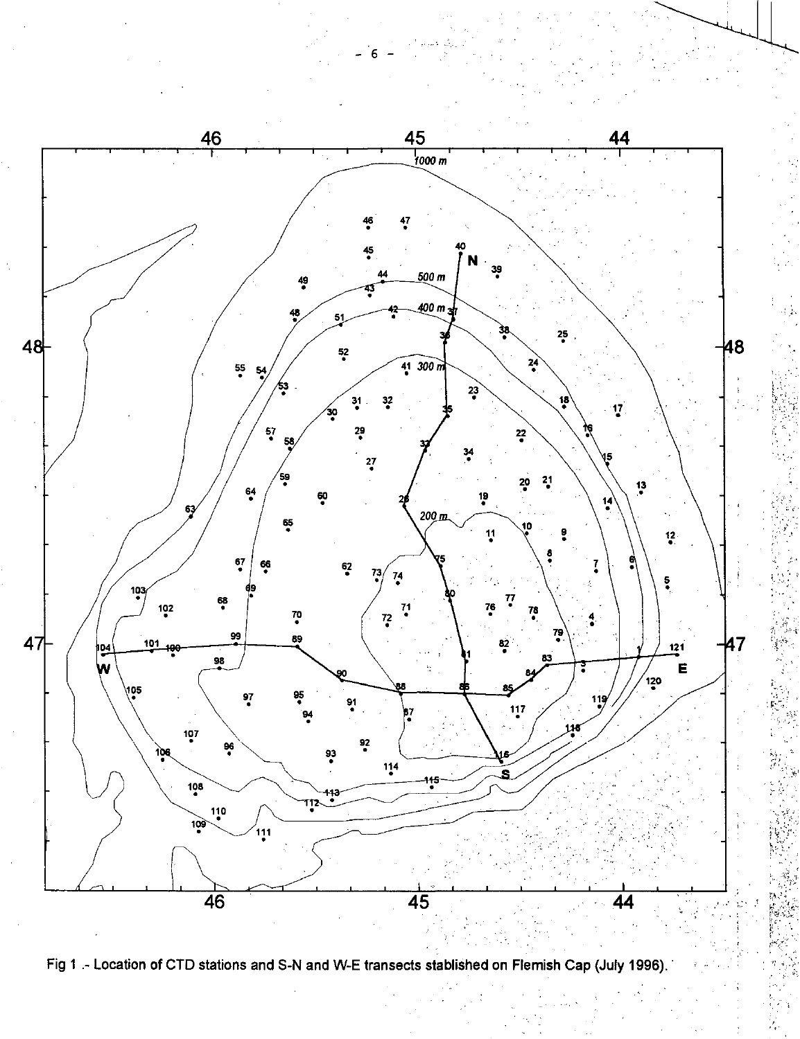

6

Fig 1 .- Location of CTD stations and S-N and W-E transects stablished on Flemish Cap (July 1996).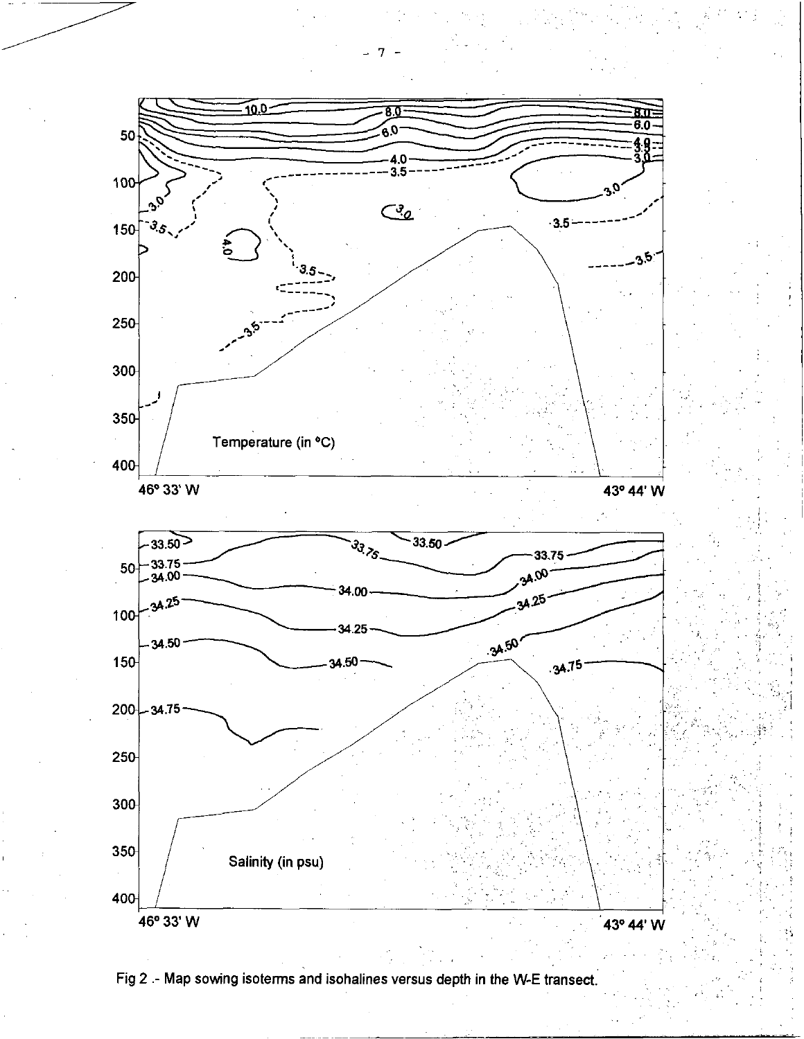

Fig 2 .- Map sowing isoterms and isohalines versus depth in the W-E transect.

7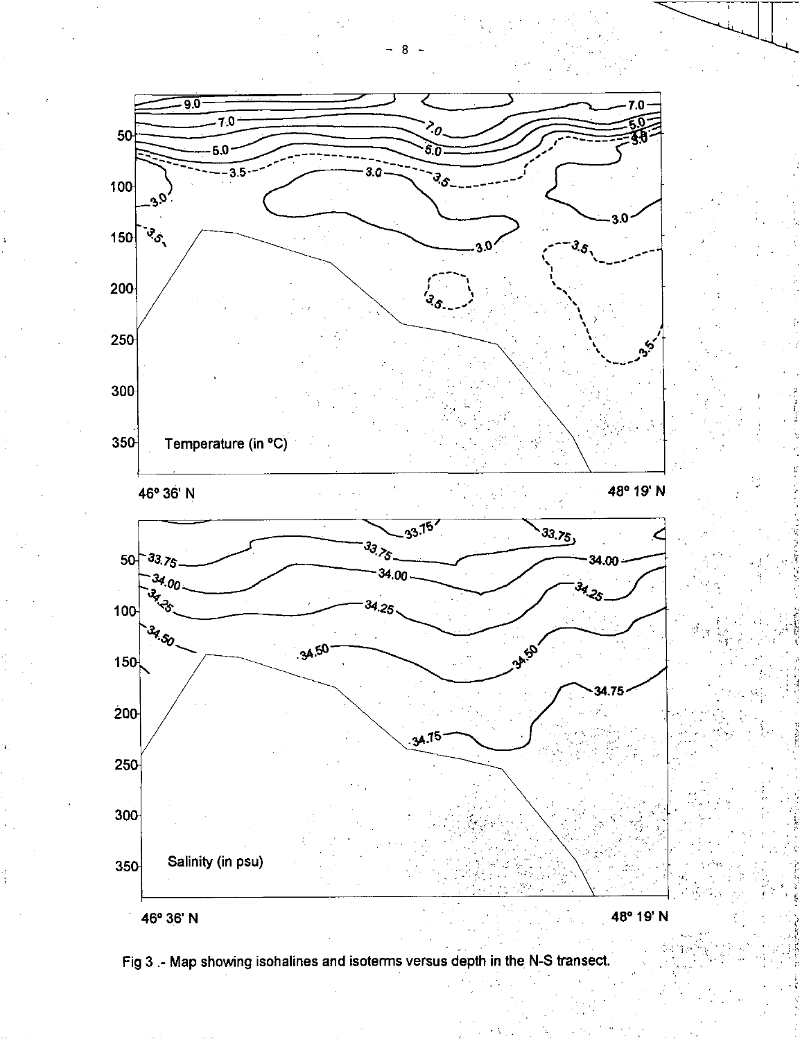

Fig 3 .- Map showing isohalines and isoterms versus depth in the N-S transect.

8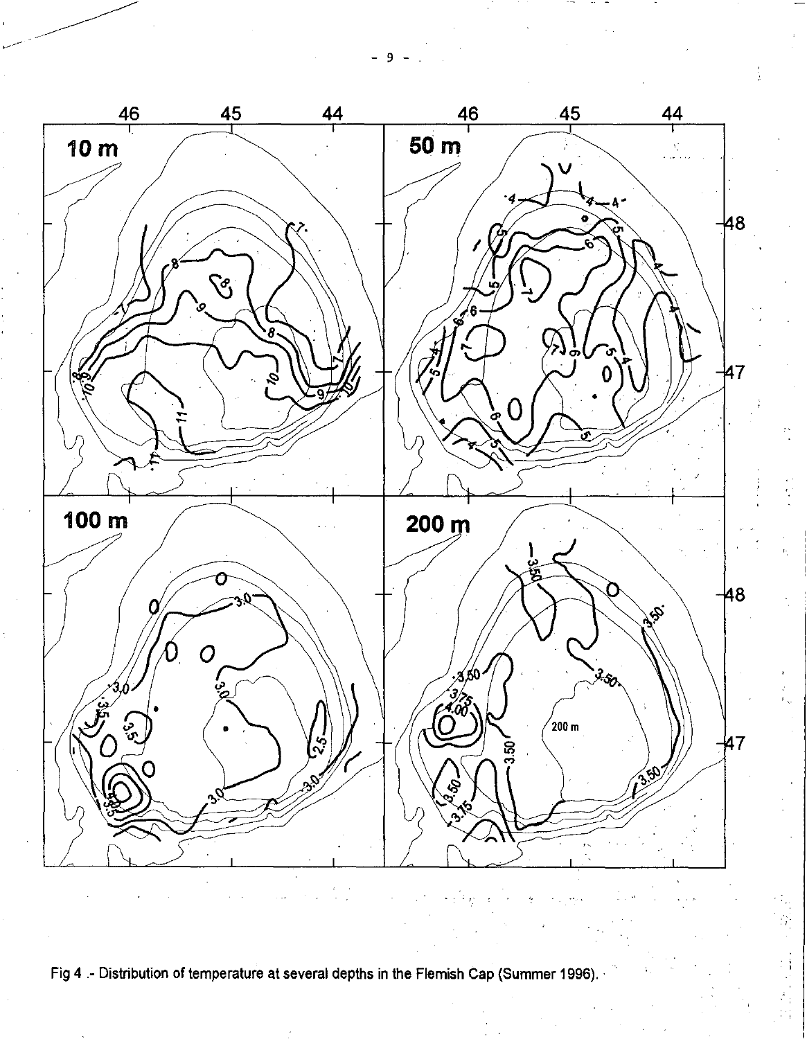9



Fig 4 - Distribution of temperature at several depths in the Flemish Cap (Summer 1996).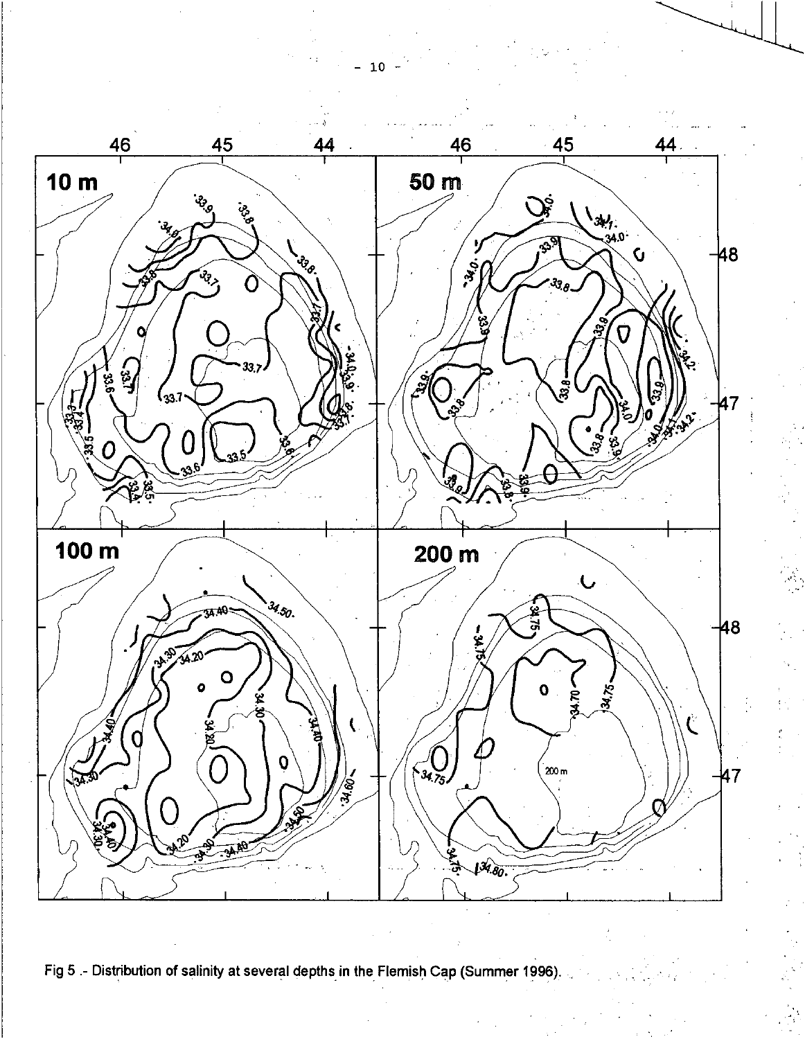

Fig 5 .- Distribution of salinity at several depths in the Flemish Cap (Summer 1996).

 ${\bf 10}$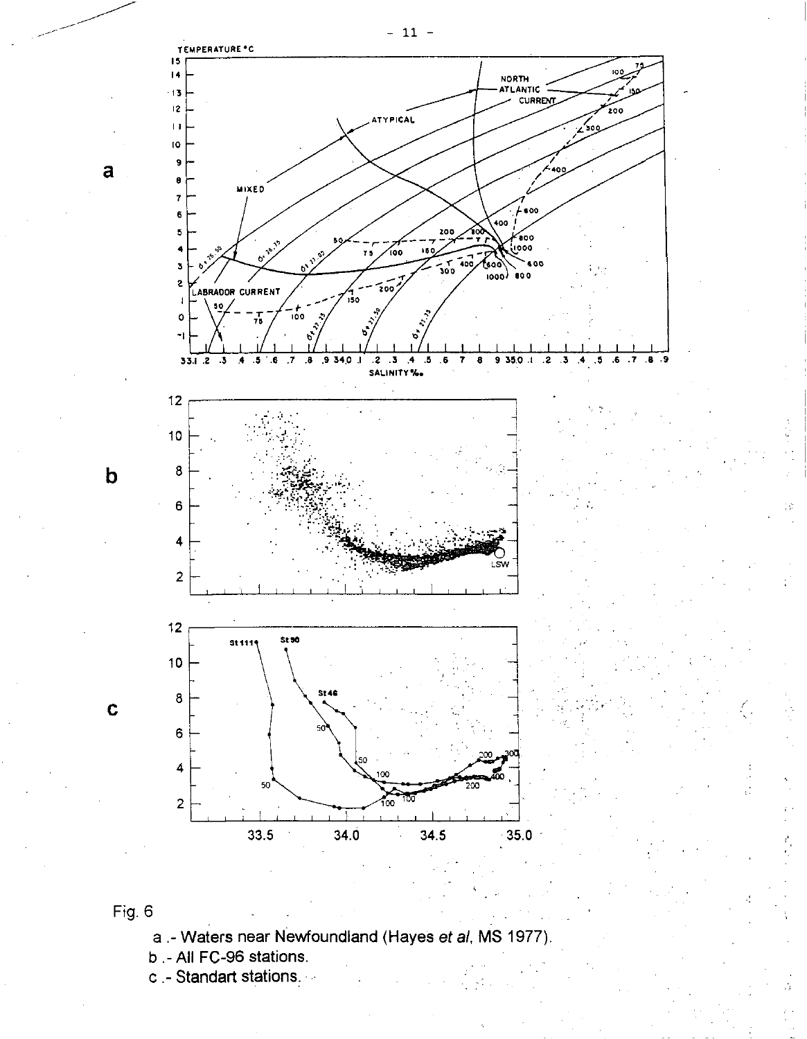





a

 $\mathbf b$ 

 $\mathbf c$ 

- a.- Waters near Newfoundland (Hayes et al, MS 1977).
- b.-All FC-96 stations.
- c Standart stations.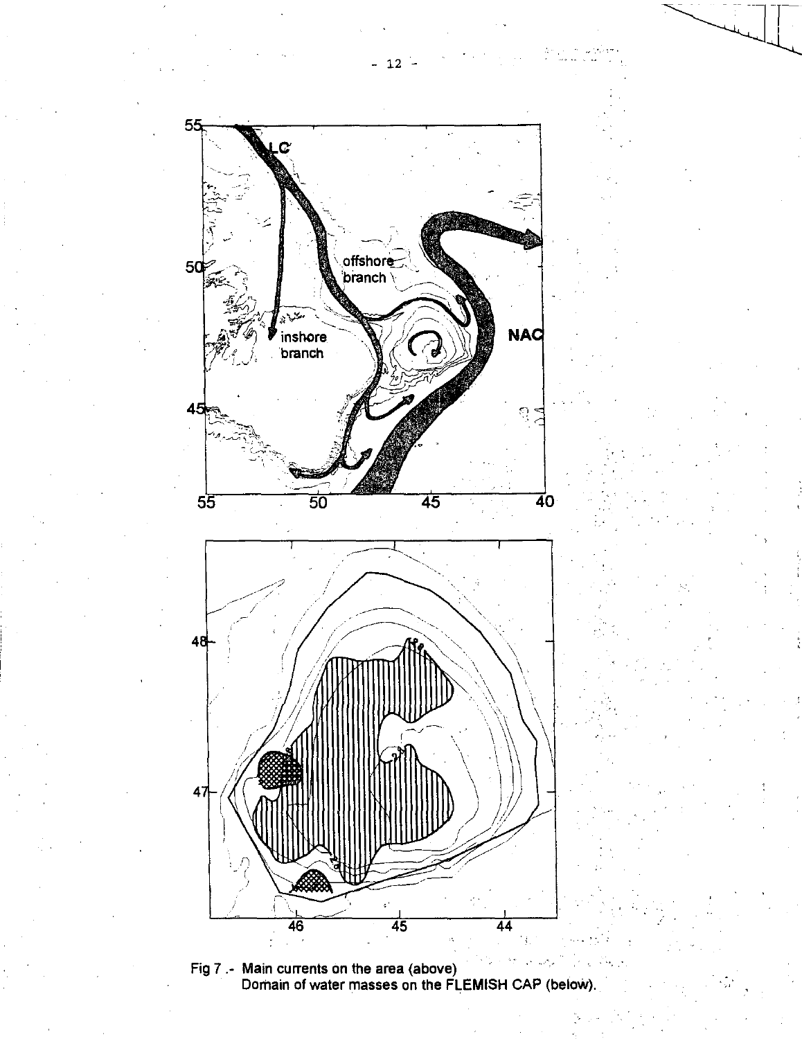$-12 -$ 



Fig 7 .- Main currents on the area (above) Dorhain of water masses on the FLEMISH CAP (below).